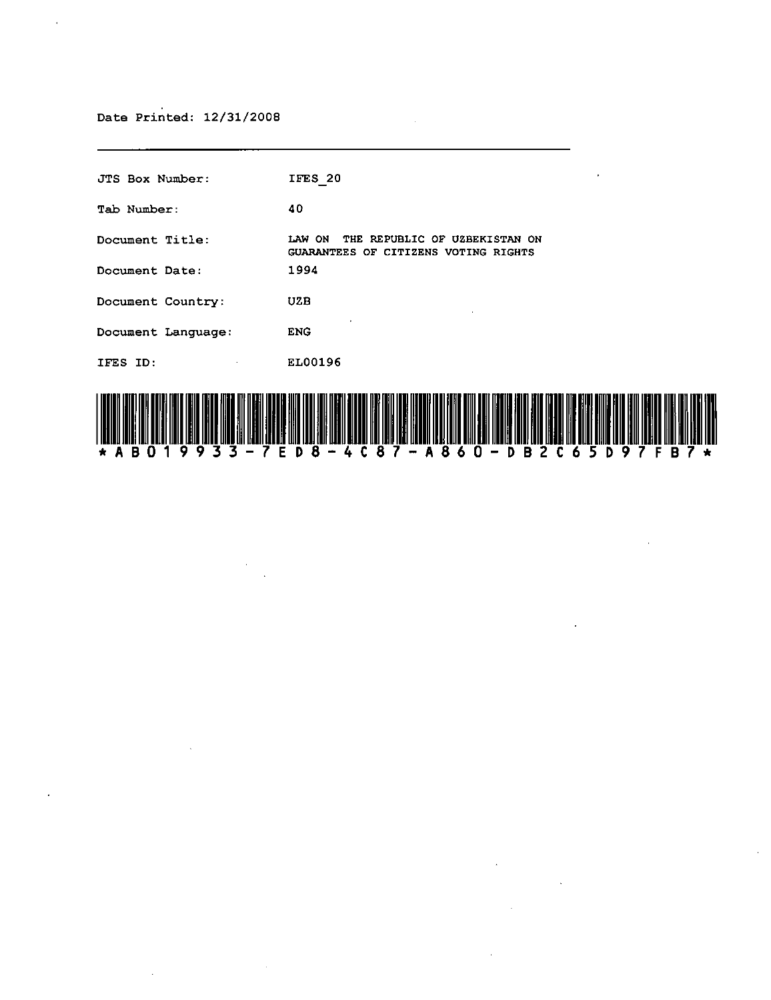$\bar{\mathcal{A}}$ 

 $\mathcal{A}^{\mathcal{A}}$ 

| JTS Box Number:    | $\bullet$<br>IFES 20                                                            |
|--------------------|---------------------------------------------------------------------------------|
| Tab Number:        | 40                                                                              |
| Document Title:    | LAW ON<br>THE REPUBLIC OF UZBEKISTAN ON<br>GUARANTEES OF CITIZENS VOTING RIGHTS |
| Document Date:     | 1994                                                                            |
| Document Country:  | <b>UZB</b>                                                                      |
| Document Language: | <b>ENG</b>                                                                      |
| IFES ID.           | EL00196                                                                         |
|                    |                                                                                 |

 $\sim$ 



 $\sim$   $\sim$ 

 $\mathcal{L}^{\text{max}}_{\text{max}}$  ,  $\mathcal{L}^{\text{max}}_{\text{max}}$ 

 $\mathcal{A}^{\pm}$ 

 $\ddot{\phantom{a}}$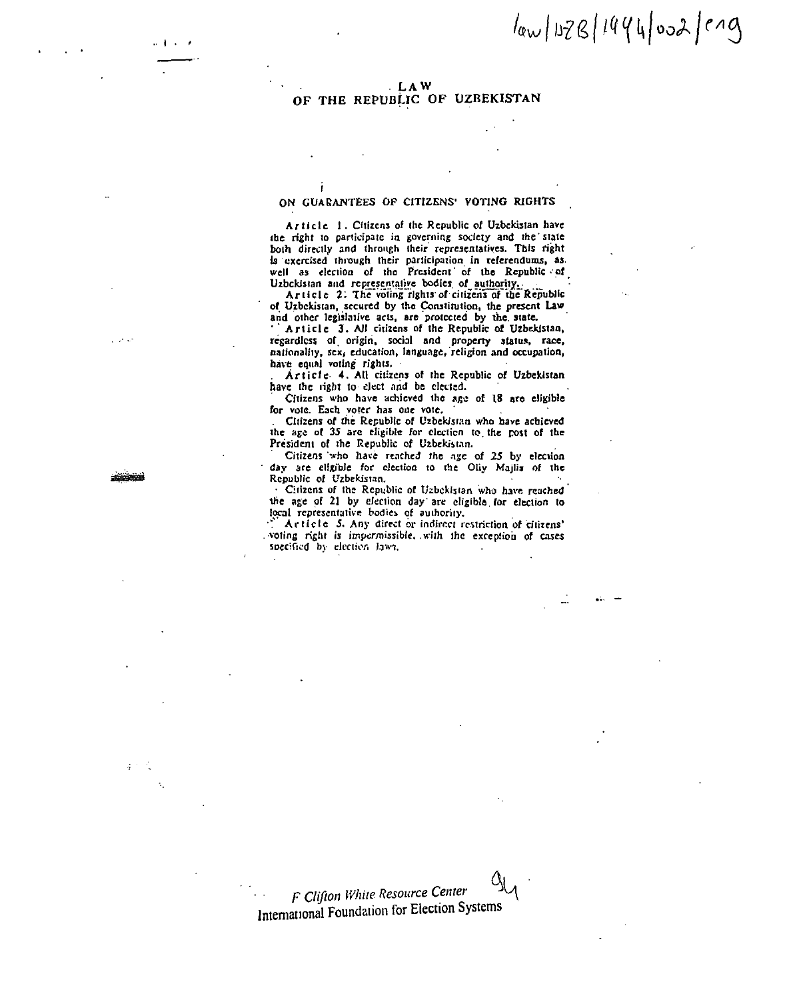## $\frac{1}{4}$  /02/3/1444002/019

## **LAW** OF THE REPUBLIC OF UZBEKISTAN

## ON GUARANTEES OF CITIZENS' VOTING RIGHTS

Î

Article 1. Citizens of the Republic of Uzbekistan have the right to participate in governing society and the state both directly and through their representatives. This right is exercised through their participation in referendums, as well as election of the President of the Republic of Uzbekistan and representative bodies of authority.

Article 2. The voting rights of citizens of the Republic of Uzbekistan, secured by the Constitution, the present Law and other legislative acts, are protected by the state.

Article 3. All citizens of the Republic of Uzbekistan, regardless of origin, social and property status, race, nationality, sex, education, language, religion and occupation, have equal voting rights.

Article 4. All citizens of the Republic of Uzbekistan have the right to clect and be elected.

Citizens who have achieved the age of 18 are eligible for vote. Each voter has one vote.

Citizens of the Republic of Uzbekistan who have achieved the age of 35 are eligible for election to the post of the President of the Republic of Uzbekistan.

Citizens who have reached the age of 25 by election day are eligible for election to the Oliy Majlis of the Republic of Uzbekistan.

Citizens of the Republic of Uzbekistan who have reached the age of 21 by election day are eligible for election to local representative bodies of authority,

Article 5. Any direct or indirect restriction of citizens' voting right is impermissible, with the exception of cases specified by election laws.

 $\mathcal{L}$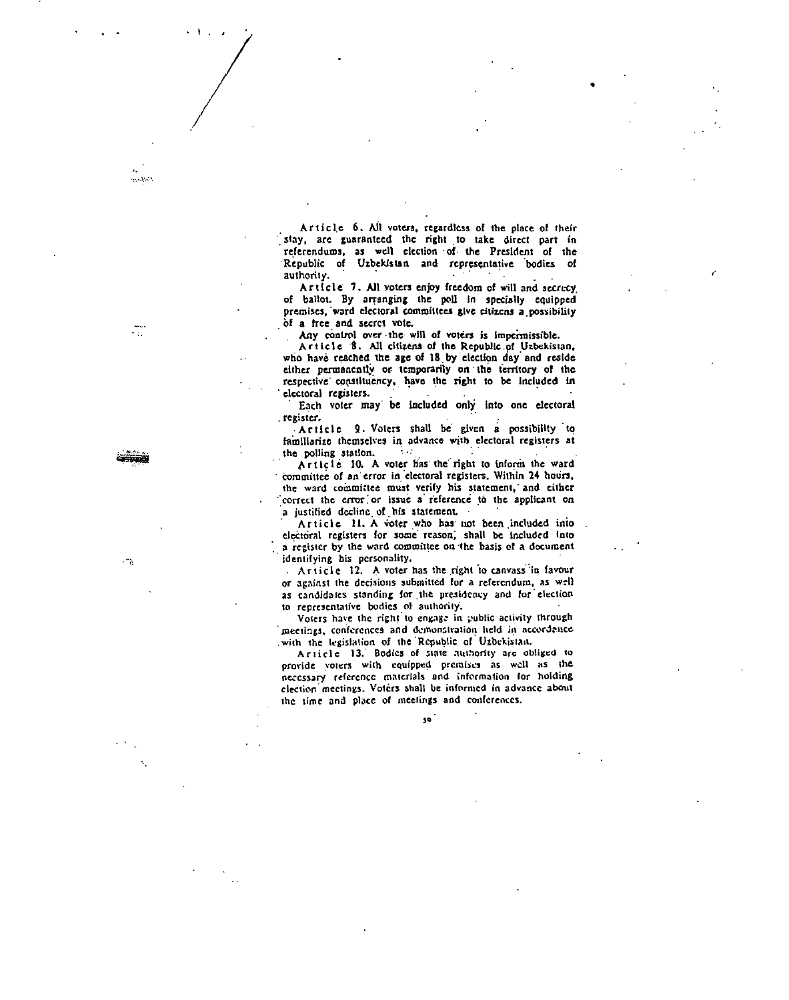Article 6. All voters, regardless of the place of their stay, are guaranteed the right to take direct part in referendums, as well election of the President of the Republic of Uzbekistan and representative bodies of authority.

Article 7. All voters enjoy freedom of will and secrecy of ballot. By arranging the poll in specially equipped premises, ward electoral committees give citizens a possibility of a free and secret vote.

Any control over the will of voters is impermissible.

Article 8. All citizens of the Republic of Uzbekistan, who have reached the age of 18 by election day and reside either permanently or temporarily on the territory of the respective constituency, have the right to be included in electoral registers.

Each voter may be included only into one electoral register.

Article 9. Voters shall be given a possibility to familiarize themselves in advance with electoral registers at the polling station.  $\sim$ 

Article 10. A voter has the right to inform the ward committee of an error in electoral registers. Within 24 hours, the ward committee must verify his statement, and either correct the error or issue a reference to the applicant on a justified decline of his statement.

Article II. A voter who has not been included into electoral registers for some reason, shall be included into a register by the ward committee on the basis of a document identifying his personality.

Article 12. A voter has the right to canvass in favour or against the decisions submitted for a referendum, as well as candidates standing for the presidency and for election to representative bodies of authority,

Voters have the right to engage in public activity through meetings, conferences and demonstration held in accordance with the legislation of the Republic of Uzbekistan.

Article 13. Bodies of state authority are obliged to provide voters with equipped premises as well as the necessary reference materials and information for holding election meetings. Voters shall be informed in advance about the time and place of meetings and conferences.

so

 $\cdot$   $\cdot$ 

 $\mathbb{R}^2$ 

التقصيد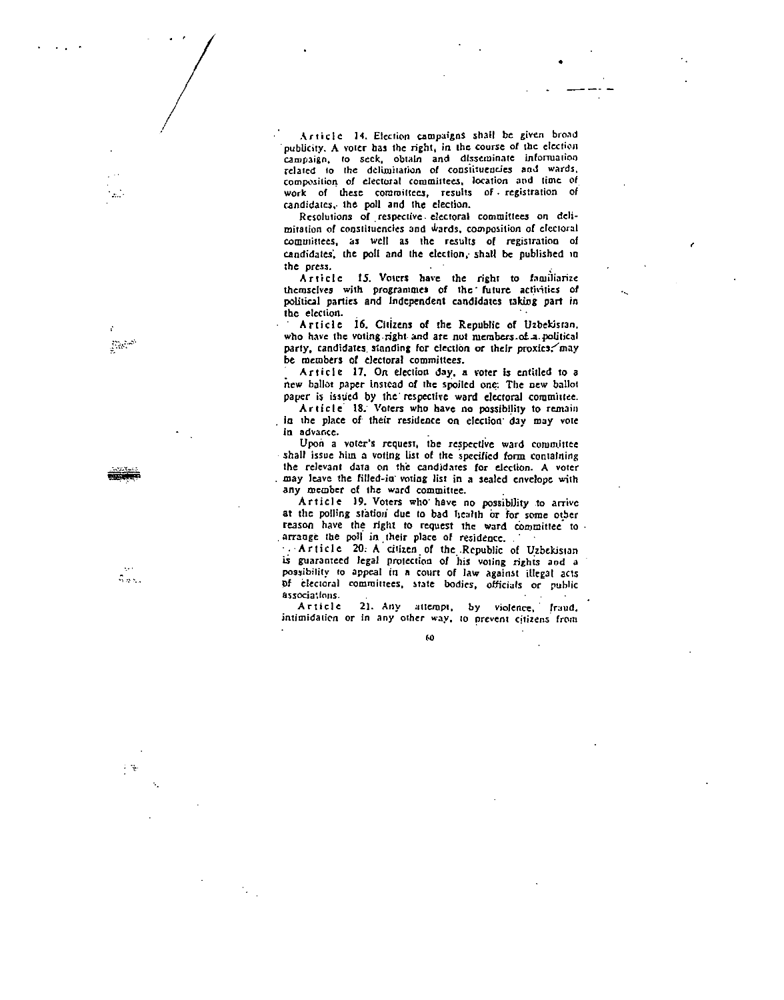Article 14. Election campaigns shall be given broad publicity. A voter has the right, in the course of the election campaign, to seek, obtain and disseminate information related to the delimitation of constituencies and wards, composition of electoral committees, location and time of work of these committees, results of registration of candidates, the poll and the election.

Resolutions of respective electoral committees on delimitation of constituencies and wards, composition of electoral committees, as well as the results of registration of candidates, the poll and the election, shall be published in the press.

Article 15. Voters have the right to familiarize themselves with programmes of the future activities of political parties and Independent candidates taking part in the election.

Article 16. Citizens of the Republic of Uzbekistan, who have the voting right and are not members of a political party, candidates standing for election or their proxics, may be members of electoral committees.

Article 17. On election day, a voter is entitled to a new ballot paper instead of the spoiled one: The new ballot paper is issued by the respective ward electoral committee.

Article 18. Voters who have no possibility to remain in the place of their residence on election day may vote in advance.

Upon a voter's request, the respective ward committee shall issue him a voting list of the specified form containing the relevant data on the candidates for election. A voter may leave the filled-in voting list in a sealed envelope with any member of the ward committee.

Article 19. Voters who have no possibility to arrive at the polling station due to bad health or for some other reason have the right to request the ward committee to arrange the poll in their place of residence.

. Article 20: A citizen of the Republic of Uzbekistan is guaranteed legal protection of his voting rights and a possibility to appeal in a court of law against illegal acts of electoral committees, state bodies, officials or public associations.

21. Any attempt, by violence, fraud, Article intimidation or in any other way, to prevent citizens from

60

 $\mathbb{R}^{3}$ 

 $\mathcal{L}_{\text{max}}$ 

 $\sim$   $\approx$